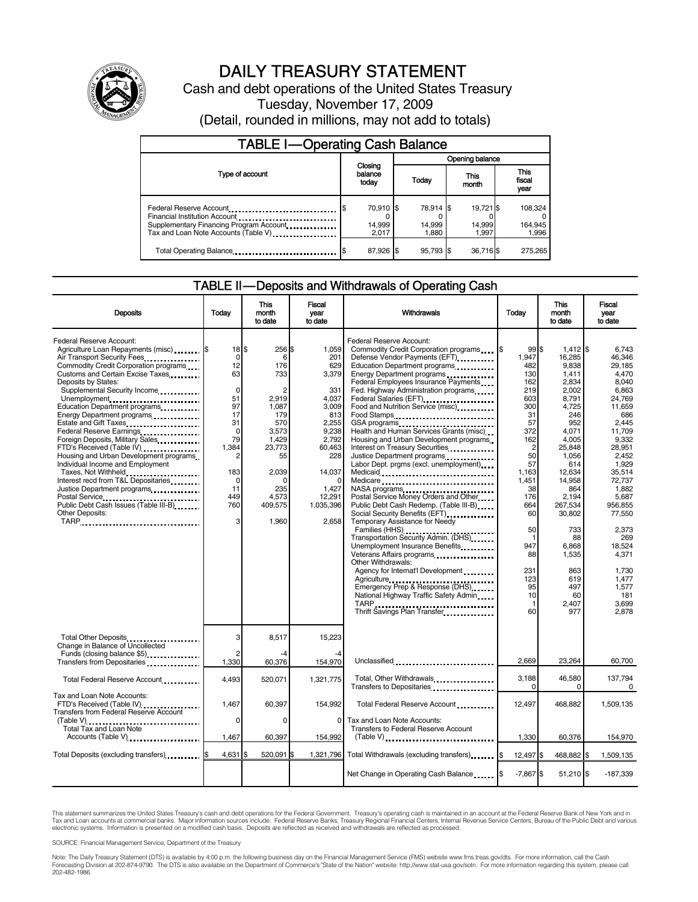

# DAILY TREASURY STATEMENT

Cash and debt operations of the United States Treasury Tuesday, November 17, 2009 (Detail, rounded in millions, may not add to totals)

| <b>TABLE I-Operating Cash Balance</b>                                                                                                        |                                      |                              |                              |                             |  |  |  |
|----------------------------------------------------------------------------------------------------------------------------------------------|--------------------------------------|------------------------------|------------------------------|-----------------------------|--|--|--|
|                                                                                                                                              |                                      |                              | Opening balance              |                             |  |  |  |
| Type of account                                                                                                                              | Closing<br>balance<br>Today<br>today |                              | This<br>month                | This<br>fiscal<br>year      |  |  |  |
| Federal Reserve Account<br>Financial Institution Account<br>Supplementary Financing Program Account.<br>Tax and Loan Note Accounts (Table V) | 70,910 \$<br>14,999<br>2.017         | 78,914 \$<br>14,999<br>1.880 | 19,721 \$<br>14,999<br>1.997 | 108,324<br>164,945<br>1,996 |  |  |  |
| Total Operating Balance                                                                                                                      | 87,926 \$                            | 95.793 \$                    | 36,716\$                     | 275,265                     |  |  |  |

#### TABLE II — Deposits and Withdrawals of Operating Cash

| <b>Deposits</b>                                                                                                                                                                                                                                                                                                                                                                                                                                                                                                                                                                                                                                                             | Todav                                                                                                                                                                                        | This<br>month<br>to date                                                                                                                      | Fiscal<br>vear<br>to date                                                                                                                                   | Withdrawals                                                                                                                                                                                                                                                                                                                                                                                                                                                                                                                                                                                                                                                                                                                                                                                                                                                                                                                                                                                                                                                                                                                                                                             | Today                                                                                                                                                                                                      | This<br>month<br>to date                                                                                                                                                                                                                                                | Fiscal<br>vear<br>to date                                                                                                                                                                                                                                                                 |
|-----------------------------------------------------------------------------------------------------------------------------------------------------------------------------------------------------------------------------------------------------------------------------------------------------------------------------------------------------------------------------------------------------------------------------------------------------------------------------------------------------------------------------------------------------------------------------------------------------------------------------------------------------------------------------|----------------------------------------------------------------------------------------------------------------------------------------------------------------------------------------------|-----------------------------------------------------------------------------------------------------------------------------------------------|-------------------------------------------------------------------------------------------------------------------------------------------------------------|-----------------------------------------------------------------------------------------------------------------------------------------------------------------------------------------------------------------------------------------------------------------------------------------------------------------------------------------------------------------------------------------------------------------------------------------------------------------------------------------------------------------------------------------------------------------------------------------------------------------------------------------------------------------------------------------------------------------------------------------------------------------------------------------------------------------------------------------------------------------------------------------------------------------------------------------------------------------------------------------------------------------------------------------------------------------------------------------------------------------------------------------------------------------------------------------|------------------------------------------------------------------------------------------------------------------------------------------------------------------------------------------------------------|-------------------------------------------------------------------------------------------------------------------------------------------------------------------------------------------------------------------------------------------------------------------------|-------------------------------------------------------------------------------------------------------------------------------------------------------------------------------------------------------------------------------------------------------------------------------------------|
| <b>Federal Reserve Account:</b><br>Agriculture Loan Repayments (misc) [\$<br>Air Transport Security Fees<br>Commodity Credit Corporation programs<br>Customs and Certain Excise Taxes<br>Deposits by States:<br>Supplemental Security Income<br>Unemployment<br>Education Department programs<br>Energy Department programs<br><br>Federal Reserve Earnings<br>Foreign Deposits, Military Sales<br>FTD's Received (Table IV)<br>Housing and Urban Development programs<br>Individual Income and Employment<br>Taxes, Not Withheld<br>Interest recd from T&L Depositaries<br>Justice Department programs<br>Public Debt Cash Issues (Table III-B)<br>Other Deposits:<br>TARP | $18$ $\overline{\phantom{1}5}$<br>$\Omega$<br>12<br>63<br>$\mathbf 0$<br>51<br>97<br>17<br>31<br>$\mathbf 0$<br>79<br>1,384<br>$\overline{c}$<br>183<br>$\mathbf 0$<br>11<br>449<br>760<br>3 | 256 \$<br>6<br>176<br>733<br>2,919<br>1,087<br>179<br>570<br>3,573<br>1,429<br>23,773<br>55<br>2.039<br>O<br>235<br>4.573<br>409,575<br>1,960 | 1.059<br>201<br>629<br>3,379<br>331<br>4,037<br>3,009<br>813<br>2,255<br>9,238<br>2.792<br>60,463<br>228<br>14,037<br>1,427<br>12.291<br>1,035,396<br>2.658 | Federal Reserve Account:<br>Commodity Credit Corporation programs \,\<br>Defense Vendor Payments (EFT)<br>Education Department programs<br>Energy Department programs<br>Federal Employees Insurance Payments<br>Fed. Highway Administration programs<br>Federal Salaries (EFT)<br>1999: 1999: 1999: 1999: 1999: 1999: 1999: 1999: 1999: 1999: 1999: 1999: 1999: 1999: 1999: 1999: 1999: 1999: 1999: 1999: 1999: 1999: 1999: 1999: 1999: 1999: 1999: 1999: 1999: 1999: 1999: 1999: 1999:<br>Food and Nutrition Service (misc)<br>Food Stamps<br>GSA programs<br>Health and Human Services Grants (misc)<br>Housing and Urban Development programs<br>Interest on Treasury Securities<br>Justice Department programs<br>Labor Dept. prgms (excl. unemployment)<br>NASA programs<br>Postal Service Money Orders and Other<br>Public Debt Cash Redemp. (Table III-B)<br>Social Security Benefits (EFT)<br>Temporary Assistance for Needy<br>Transportation Security Admin. (DHS)<br>Unemployment Insurance Benefits<br>Other Withdrawals:<br>Agency for Internat'l Development<br>Emergency Prep & Response (DHS)<br>National Highway Traffic Safety Admin<br>Thrift Savings Plan Transfer | 99S<br>1.947<br>482<br>130<br>162<br>219<br>603<br>300<br>31<br>57<br>372<br>162<br>2<br>50<br>57<br>1.163<br>1,451<br>38<br>176<br>664<br>60<br>50<br>1<br>947<br>88<br>231<br>123<br>95<br>10<br>1<br>60 | $1,412$ \$<br>16.285<br>9,838<br>1.411<br>2.834<br>2,002<br>8,791<br>4,725<br>246<br>952<br>4,071<br>4,005<br>25,848<br>1,056<br>614<br>12.634<br>14,958<br>864<br>2.194<br>267,534<br>30,802<br>733<br>88<br>6,868<br>1,535<br>863<br>619<br>497<br>60<br>2,407<br>977 | 6.743<br>46.346<br>29,185<br>4.470<br>8.040<br>6,863<br>24,769<br>11,659<br>686<br>2,445<br>11.709<br>9.332<br>28,951<br>2.452<br>1,929<br>35.514<br>72,737<br>1.882<br>5.687<br>956,855<br>77,550<br>2.373<br>269<br>18,524<br>4,371<br>1,730<br>1,477<br>1,577<br>181<br>3.699<br>2.878 |
| Total Other Deposits<br>Change in Balance of Uncollected<br>Funds (closing balance \$5)                                                                                                                                                                                                                                                                                                                                                                                                                                                                                                                                                                                     | 3<br>$\overline{2}$<br>1,330                                                                                                                                                                 | 8,517<br>-4<br>60,376                                                                                                                         | 15.223<br>154,970                                                                                                                                           | Unclassified                                                                                                                                                                                                                                                                                                                                                                                                                                                                                                                                                                                                                                                                                                                                                                                                                                                                                                                                                                                                                                                                                                                                                                            | 2.669                                                                                                                                                                                                      | 23,264                                                                                                                                                                                                                                                                  | 60,700                                                                                                                                                                                                                                                                                    |
| Total Federal Reserve Account                                                                                                                                                                                                                                                                                                                                                                                                                                                                                                                                                                                                                                               | 4,493                                                                                                                                                                                        | 520,071                                                                                                                                       | 1.321.775                                                                                                                                                   | Total, Other Withdrawals<br>Transfers to Depositaries                                                                                                                                                                                                                                                                                                                                                                                                                                                                                                                                                                                                                                                                                                                                                                                                                                                                                                                                                                                                                                                                                                                                   | 3.188<br>0                                                                                                                                                                                                 | 46,580<br>0                                                                                                                                                                                                                                                             | 137.794<br>0                                                                                                                                                                                                                                                                              |
| Tax and Loan Note Accounts:<br>FTD's Received (Table IV)<br><b>Transfers from Federal Reserve Account</b><br>Total Tax and Loan Note                                                                                                                                                                                                                                                                                                                                                                                                                                                                                                                                        | 1,467<br>$\mathbf 0$                                                                                                                                                                         | 60,397<br>0                                                                                                                                   | 154,992<br>$\mathbf 0$                                                                                                                                      | Total Federal Reserve Account<br>Tax and Loan Note Accounts:<br>Transfers to Federal Reserve Account                                                                                                                                                                                                                                                                                                                                                                                                                                                                                                                                                                                                                                                                                                                                                                                                                                                                                                                                                                                                                                                                                    | 12,497                                                                                                                                                                                                     | 468.882                                                                                                                                                                                                                                                                 | 1,509,135                                                                                                                                                                                                                                                                                 |
| Accounts (Table V)                                                                                                                                                                                                                                                                                                                                                                                                                                                                                                                                                                                                                                                          | 1,467                                                                                                                                                                                        | 60,397                                                                                                                                        | 154,992                                                                                                                                                     | $(Table V)$                                                                                                                                                                                                                                                                                                                                                                                                                                                                                                                                                                                                                                                                                                                                                                                                                                                                                                                                                                                                                                                                                                                                                                             | 1,330                                                                                                                                                                                                      | 60,376                                                                                                                                                                                                                                                                  | 154,970                                                                                                                                                                                                                                                                                   |
| Total Deposits (excluding transfers).                                                                                                                                                                                                                                                                                                                                                                                                                                                                                                                                                                                                                                       | 4,631 \$                                                                                                                                                                                     | 520.091 \$                                                                                                                                    | 1,321,796                                                                                                                                                   | Total Withdrawals (excluding transfers) [\$                                                                                                                                                                                                                                                                                                                                                                                                                                                                                                                                                                                                                                                                                                                                                                                                                                                                                                                                                                                                                                                                                                                                             | 12,497 \$                                                                                                                                                                                                  | 468,882 \$                                                                                                                                                                                                                                                              | 1,509,135                                                                                                                                                                                                                                                                                 |
|                                                                                                                                                                                                                                                                                                                                                                                                                                                                                                                                                                                                                                                                             |                                                                                                                                                                                              |                                                                                                                                               |                                                                                                                                                             | Net Change in Operating Cash Balance                                                                                                                                                                                                                                                                                                                                                                                                                                                                                                                                                                                                                                                                                                                                                                                                                                                                                                                                                                                                                                                                                                                                                    | $-7,867$ \$                                                                                                                                                                                                | 51,210 \$                                                                                                                                                                                                                                                               | $-187,339$                                                                                                                                                                                                                                                                                |

This statement summarizes the United States Treasury's cash and debt operations for the Federal Government. Treasury's operating cash is maintained in an account at the Federal Reserve Bank of New York and in<br>Tax and Loan

SOURCE: Financial Management Service, Department of the Treasury

Note: The Daily Treasury Statement (DTS) is available by 4:00 p.m. the following business day on the Financial Management Service (FMS) website www.fms.treas.gov/dts. For more information, call the Cash<br>Forecasting Divisio